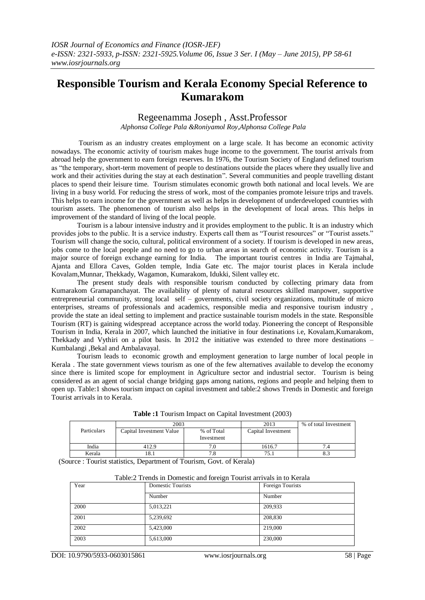# **Responsible Tourism and Kerala Economy Special Reference to Kumarakom**

# Regeenamma Joseph , Asst.Professor

*Alphonsa College Pala &Roniyamol Roy,Alphonsa College Pala*

Tourism as an industry creates employment on a large scale. It has become an economic activity nowadays. The economic activity of tourism makes huge income to the government. The tourist arrivals from abroad help the government to earn foreign reserves. In 1976, the Tourism Society of England defined tourism as "the temporary, short-term movement of people to destinations outside the places where they usually live and work and their activities during the stay at each destination". Several communities and people travelling distant places to spend their leisure time. Tourism stimulates economic growth both national and local levels. We are living in a busy world. For reducing the stress of work, most of the companies promote leisure trips and travels. This helps to earn income for the government as well as helps in development of underdeveloped countries with tourism assets. The phenomenon of tourism also helps in the development of local areas. This helps in improvement of the standard of living of the local people.

Tourism is a labour intensive industry and it provides employment to the public. It is an industry which provides jobs to the public. It is a service industry. Experts call them as "Tourist resources" or "Tourist assets." Tourism will change the socio, cultural, political environment of a society. If tourism is developed in new areas, jobs come to the local people and no need to go to urban areas in search of economic activity. Tourism is a major source of foreign exchange earning for India. The important tourist centres in India are Tajmahal, Ajanta and Ellora Caves, Golden temple, India Gate etc. The major tourist places in Kerala include Kovalam,Munnar, Thekkady, Wagamon, Kumarakom, Idukki, Silent valley etc.

The present study deals with responsible tourism conducted by collecting primary data from Kumarakom Gramapanchayat. The availability of plenty of natural resources skilled manpower, supportive entrepreneurial community, strong local self – governments, civil society organizations, multitude of micro enterprises, streams of professionals and academics, responsible media and responsive tourism industry , provide the state an ideal setting to implement and practice sustainable tourism models in the state. Responsible Tourism (RT) is gaining widespread acceptance across the world today. Pioneering the concept of Responsible Tourism in India, Kerala in 2007, which launched the initiative in four destinations i.e, Kovalam,Kumarakom, Thekkady and Vythiri on a pilot basis. In 2012 the initiative was extended to three more destinations – Kumbalangi ,Bekal and Ambalavayal.

Tourism leads to economic growth and employment generation to large number of local people in Kerala . The state government views tourism as one of the few alternatives available to develop the economy since there is limited scope for employment in Agriculture sector and industrial sector. Tourism is being considered as an agent of social change bridging gaps among nations, regions and people and helping them to open up. Table:1 shows tourism impact on capital investment and table:2 shows Trends in Domestic and foreign Tourist arrivals in to Kerala.

|             | 2003                     | 2013                     | % of total Investment |  |
|-------------|--------------------------|--------------------------|-----------------------|--|
| Particulars | Capital Investment Value | % of Total<br>Investment | Capital Investment    |  |
| India       | 412.9                    |                          | 1616.7                |  |
| Kerala      | 10.                      |                          | 75.                   |  |

**Table :1** Tourism Impact on Capital Investment (2003)

(Source : Tourist statistics, Department of Tourism, Govt. of Kerala)

| Table:2 Trends in Domestic and foreign Tourist arrivals in to Kerala |  |  |  |  |
|----------------------------------------------------------------------|--|--|--|--|
|                                                                      |  |  |  |  |

| Year | Domestic Tourists | Foreign Tourists |  |  |
|------|-------------------|------------------|--|--|
|      | Number            | Number           |  |  |
| 2000 | 5,013,221         | 209,933          |  |  |
| 2001 | 5,239,692         | 208,830          |  |  |
| 2002 | 5,423,000         | 219,000          |  |  |
| 2003 | 5,613,000         | 230,000          |  |  |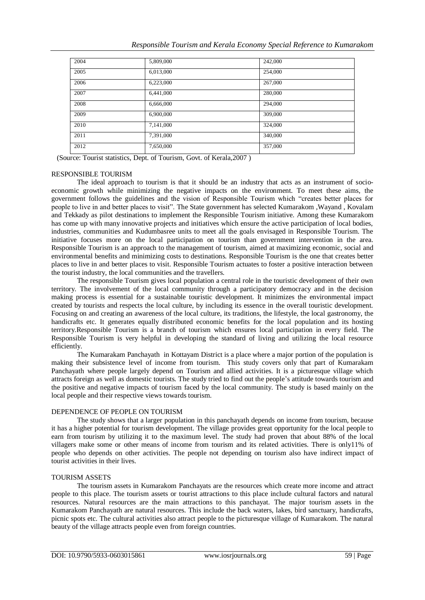|  |  |  | Responsible Tourism and Kerala Economy Special Reference to Kumarakom |
|--|--|--|-----------------------------------------------------------------------|
|  |  |  |                                                                       |

| 2004 | 5,809,000 | 242,000 |
|------|-----------|---------|
| 2005 | 6,013,000 | 254,000 |
| 2006 | 6,223,000 | 267,000 |
| 2007 | 6,441,000 | 280,000 |
| 2008 | 6,666,000 | 294,000 |
| 2009 | 6,900,000 | 309,000 |
| 2010 | 7,141,000 | 324,000 |
| 2011 | 7,391,000 | 340,000 |
| 2012 | 7,650,000 | 357,000 |

(Source: Tourist statistics, Dept. of Tourism, Govt. of Kerala,2007 )

# RESPONSIBLE TOURISM

The ideal approach to tourism is that it should be an industry that acts as an instrument of socioeconomic growth while minimizing the negative impacts on the environment. To meet these aims, the government follows the guidelines and the vision of Responsible Tourism which "creates better places for people to live in and better places to visit". The State government has selected Kumarakom ,Wayand , Kovalam and Tekkady as pilot destinations to implement the Responsible Tourism initiative. Among these Kumarakom has come up with many innovative projects and initiatives which ensure the active participation of local bodies, industries, communities and Kudumbasree units to meet all the goals envisaged in Responsible Tourism. The initiative focuses more on the local participation on tourism than government intervention in the area. Responsible Tourism is an approach to the management of tourism, aimed at maximizing economic, social and environmental benefits and minimizing costs to destinations. Responsible Tourism is the one that creates better places to live in and better places to visit. Responsible Tourism actuates to foster a positive interaction between the tourist industry, the local communities and the travellers.

The responsible Tourism gives local population a central role in the touristic development of their own territory. The involvement of the local community through a participatory democracy and in the decision making process is essential for a sustainable touristic development. It minimizes the environmental impact created by tourists and respects the local culture, by including its essence in the overall touristic development. Focusing on and creating an awareness of the local culture, its traditions, the lifestyle, the local gastronomy, the handicrafts etc. It generates equally distributed economic benefits for the local population and its hosting territory.Responsible Tourism is a branch of tourism which ensures local participation in every field. The Responsible Tourism is very helpful in developing the standard of living and utilizing the local resource efficiently.

The Kumarakam Panchayath in Kottayam District is a place where a major portion of the population is making their subsistence level of income from tourism. This study covers only that part of Kumarakam Panchayath where people largely depend on Tourism and allied activities. It is a picturesque village which attracts foreign as well as domestic tourists. The study tried to find out the people's attitude towards tourism and the positive and negative impacts of tourism faced by the local community. The study is based mainly on the local people and their respective views towards tourism.

# DEPENDENCE OF PEOPLE ON TOURISM

The study shows that a larger population in this panchayath depends on income from tourism, because it has a higher potential for tourism development. The village provides great opportunity for the local people to earn from tourism by utilizing it to the maximum level. The study had proven that about 88% of the local villagers make some or other means of income from tourism and its related activities. There is only11% of people who depends on other activities. The people not depending on tourism also have indirect impact of tourist activities in their lives.

# TOURISM ASSETS

The tourism assets in Kumarakom Panchayats are the resources which create more income and attract people to this place. The tourism assets or tourist attractions to this place include cultural factors and natural resources. Natural resources are the main attractions to this panchayat. The major tourism assets in the Kumarakom Panchayath are natural resources. This include the back waters, lakes, bird sanctuary, handicrafts, picnic spots etc. The cultural activities also attract people to the picturesque village of Kumarakom. The natural beauty of the village attracts people even from foreign countries.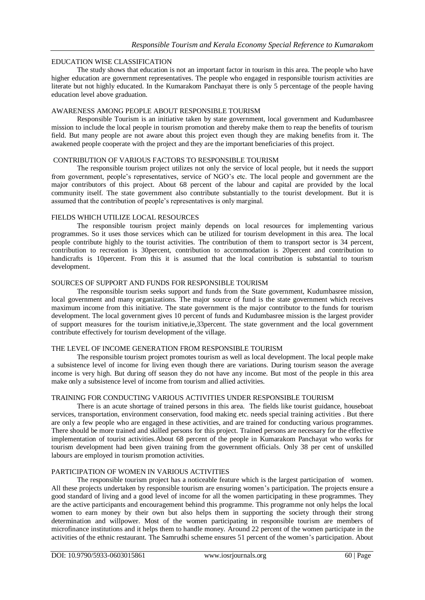# EDUCATION WISE CLASSIFICATION

The study shows that education is not an important factor in tourism in this area. The people who have higher education are government representatives. The people who engaged in responsible tourism activities are literate but not highly educated. In the Kumarakom Panchayat there is only 5 percentage of the people having education level above graduation.

# AWARENESS AMONG PEOPLE ABOUT RESPONSIBLE TOURISM

Responsible Tourism is an initiative taken by state government, local government and Kudumbasree mission to include the local people in tourism promotion and thereby make them to reap the benefits of tourism field. But many people are not aware about this project even though they are making benefits from it. The awakened people cooperate with the project and they are the important beneficiaries of this project.

## CONTRIBUTION OF VARIOUS FACTORS TO RESPONSIBLE TOURISM

The responsible tourism project utilizes not only the service of local people, but it needs the support from government, people's representatives, service of NGO's etc. The local people and government are the major contributors of this project. About 68 percent of the labour and capital are provided by the local community itself. The state government also contribute substantially to the tourist development. But it is assumed that the contribution of people's representatives is only marginal.

## FIELDS WHICH UTILIZE LOCAL RESOURCES

The responsible tourism project mainly depends on local resources for implementing various programmes. So it uses those services which can be utilized for tourism development in this area. The local people contribute highly to the tourist activities. The contribution of them to transport sector is 34 percent, contribution to recreation is 30percent, contribution to accommodation is 20percent and contribution to handicrafts is 10percent. From this it is assumed that the local contribution is substantial to tourism development.

#### SOURCES OF SUPPORT AND FUNDS FOR RESPONSIBLE TOURISM

The responsible tourism seeks support and funds from the State government, Kudumbasree mission, local government and many organizations. The major source of fund is the state government which receives maximum income from this initiative. The state government is the major contributor to the funds for tourism development. The local government gives 10 percent of funds and Kudumbasree mission is the largest provider of support measures for the tourism initiative,ie,33percent. The state government and the local government contribute effectively for tourism development of the village.

## THE LEVEL OF INCOME GENERATION FROM RESPONSIBLE TOURISM

The responsible tourism project promotes tourism as well as local development. The local people make a subsistence level of income for living even though there are variations. During tourism season the average income is very high. But during off season they do not have any income. But most of the people in this area make only a subsistence level of income from tourism and allied activities.

# TRAINING FOR CONDUCTING VARIOUS ACTIVITIES UNDER RESPONSIBLE TOURISM

There is an acute shortage of trained persons in this area. The fields like tourist guidance, houseboat services, transportation, environment conservation, food making etc. needs special training activities . But there are only a few people who are engaged in these activities, and are trained for conducting various programmes. There should be more trained and skilled persons for this project. Trained persons are necessary for the effective implementation of tourist activities.About 68 percent of the people in Kumarakom Panchayat who works for tourism development had been given training from the government officials. Only 38 per cent of unskilled labours are employed in tourism promotion activities.

## PARTICIPATION OF WOMEN IN VARIOUS ACTIVITIES

The responsible tourism project has a noticeable feature which is the largest participation of women. All these projects undertaken by responsible tourism are ensuring women's participation. The projects ensure a good standard of living and a good level of income for all the women participating in these programmes. They are the active participants and encouragement behind this programme. This programme not only helps the local women to earn money by their own but also helps them in supporting the society through their strong determination and willpower. Most of the women participating in responsible tourism are members of microfinance institutions and it helps them to handle money. Around 22 percent of the women participate in the activities of the ethnic restaurant. The Samrudhi scheme ensures 51 percent of the women's participation. About